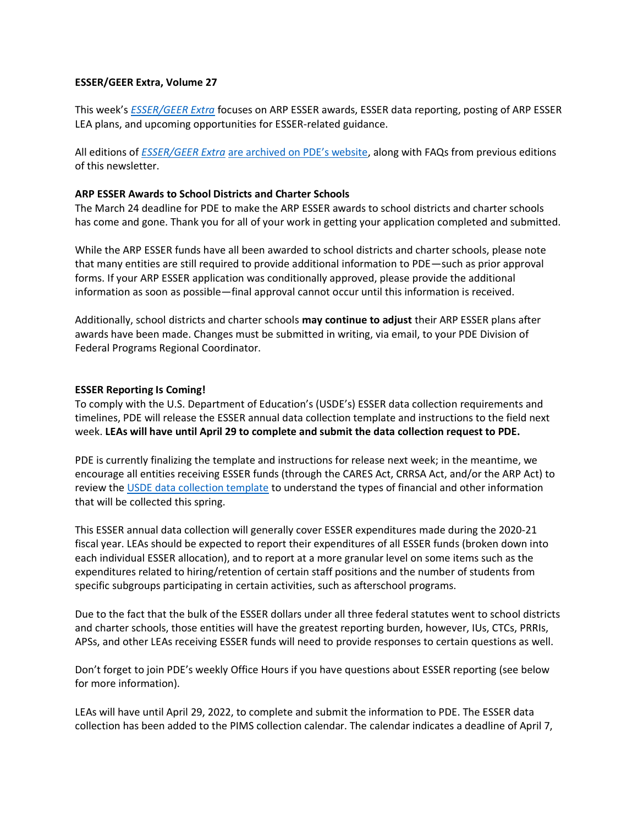### **ESSER/GEER Extra, Volume 27**

This week's *[ESSER/GEER Extra](https://www.education.pa.gov/Schools/safeschools/emergencyplanning/COVID-19/ESSERGEERExtra/Pages/default.aspx)* focuses on ARP ESSER awards, ESSER data reporting, posting of ARP ESSER LEA plans, and upcoming opportunities for ESSER-related guidance.

All editions of *ESSER/GEER Extra* [are archived on PDE's website](https://www.education.pa.gov/Schools/safeschools/emergencyplanning/COVID-19/ESSERGEERExtra/Pages/default.aspx), along with FAQs from previous editions of this newsletter.

## **ARP ESSER Awards to School Districts and Charter Schools**

The March 24 deadline for PDE to make the ARP ESSER awards to school districts and charter schools has come and gone. Thank you for all of your work in getting your application completed and submitted.

While the ARP ESSER funds have all been awarded to school districts and charter schools, please note that many entities are still required to provide additional information to PDE—such as prior approval forms. If your ARP ESSER application was conditionally approved, please provide the additional information as soon as possible—final approval cannot occur until this information is received.

Additionally, school districts and charter schools **may continue to adjust** their ARP ESSER plans after awards have been made. Changes must be submitted in writing, via email, to your PDE Division of Federal Programs Regional Coordinator.

### **ESSER Reporting Is Coming!**

To comply with the U.S. Department of Education's (USDE's) ESSER data collection requirements and timelines, PDE will release the ESSER annual data collection template and instructions to the field next week. **LEAs will have until April 29 to complete and submit the data collection request to PDE.**

PDE is currently finalizing the template and instructions for release next week; in the meantime, we encourage all entities receiving ESSER funds (through the CARES Act, CRRSA Act, and/or the ARP Act) to review the [USDE data collection template](https://api.covid-relief-data.ed.gov/collection/api/v1/public/docs/ESSER%20Recipient%20Data%20Collection%20Form.pdf) to understand the types of financial and other information that will be collected this spring.

This ESSER annual data collection will generally cover ESSER expenditures made during the 2020-21 fiscal year. LEAs should be expected to report their expenditures of all ESSER funds (broken down into each individual ESSER allocation), and to report at a more granular level on some items such as the expenditures related to hiring/retention of certain staff positions and the number of students from specific subgroups participating in certain activities, such as afterschool programs.

Due to the fact that the bulk of the ESSER dollars under all three federal statutes went to school districts and charter schools, those entities will have the greatest reporting burden, however, IUs, CTCs, PRRIs, APSs, and other LEAs receiving ESSER funds will need to provide responses to certain questions as well.

Don't forget to join PDE's weekly Office Hours if you have questions about ESSER reporting (see below for more information).

LEAs will have until April 29, 2022, to complete and submit the information to PDE. The ESSER data collection has been added to the PIMS collection calendar. The calendar indicates a deadline of April 7,